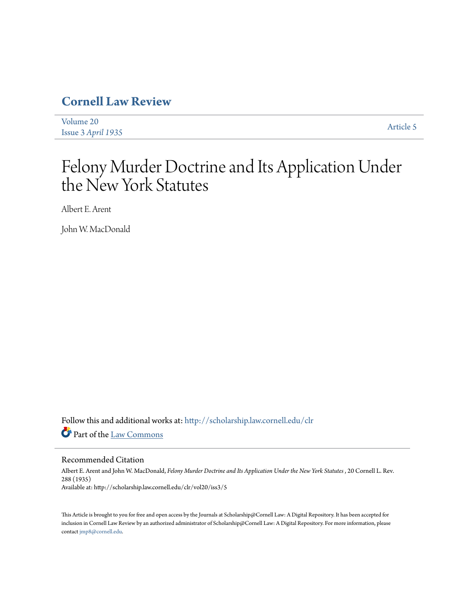# **[Cornell Law Review](http://scholarship.law.cornell.edu/clr?utm_source=scholarship.law.cornell.edu%2Fclr%2Fvol20%2Fiss3%2F5&utm_medium=PDF&utm_campaign=PDFCoverPages)**

[Volume 20](http://scholarship.law.cornell.edu/clr/vol20?utm_source=scholarship.law.cornell.edu%2Fclr%2Fvol20%2Fiss3%2F5&utm_medium=PDF&utm_campaign=PDFCoverPages) Issue 3 *[April 1935](http://scholarship.law.cornell.edu/clr/vol20/iss3?utm_source=scholarship.law.cornell.edu%2Fclr%2Fvol20%2Fiss3%2F5&utm_medium=PDF&utm_campaign=PDFCoverPages)* [Article 5](http://scholarship.law.cornell.edu/clr/vol20/iss3/5?utm_source=scholarship.law.cornell.edu%2Fclr%2Fvol20%2Fiss3%2F5&utm_medium=PDF&utm_campaign=PDFCoverPages)

# Felony Murder Doctrine and Its Application Under the New York Statutes

Albert E. Arent

John W. MacDonald

Follow this and additional works at: [http://scholarship.law.cornell.edu/clr](http://scholarship.law.cornell.edu/clr?utm_source=scholarship.law.cornell.edu%2Fclr%2Fvol20%2Fiss3%2F5&utm_medium=PDF&utm_campaign=PDFCoverPages) Part of the [Law Commons](http://network.bepress.com/hgg/discipline/578?utm_source=scholarship.law.cornell.edu%2Fclr%2Fvol20%2Fiss3%2F5&utm_medium=PDF&utm_campaign=PDFCoverPages)

# Recommended Citation

Albert E. Arent and John W. MacDonald, *Felony Murder Doctrine and Its Application Under the New York Statutes* , 20 Cornell L. Rev. 288 (1935) Available at: http://scholarship.law.cornell.edu/clr/vol20/iss3/5

This Article is brought to you for free and open access by the Journals at Scholarship@Cornell Law: A Digital Repository. It has been accepted for inclusion in Cornell Law Review by an authorized administrator of Scholarship@Cornell Law: A Digital Repository. For more information, please contact [jmp8@cornell.edu.](mailto:jmp8@cornell.edu)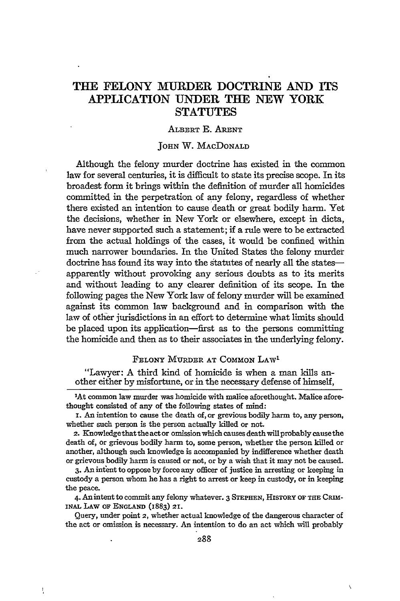# **THE FELONY MURDER DOCTRINE AND ITS APPLICATION UNDER THE NEW YORK STATUTES**

#### ALBERT **E. ARENT**

#### JOHN W. MACDONALD

Although the felony murder doctrine has existed in the common law for several centuries, it is difficult to state its precise scope. In its broadest form it brings within the definition of murder all homicides committed in the perpetration of any felony, regardless of whether there existed an intention to cause death or great bodily harm. Yet the decisions, whether in New York or elsewhere, except in dicta, have never supported such a statement; if a rule were to be extracted from the actual holdings of the cases, it would be confined within much narrower boundaries. In the United States the felony murder doctrine has found its way into the statutes of nearly all the statesapparently without provoking any serious doubts as to its merits and without leading to any clearer definition of its scope. In the following pages the New York law of felony murder will be examined against its common law background and in comparison with the law of other jurisdictions in an effort to determine what limits should be placed upon its application-first as to the persons committing the homicide and then as to their associates in the underlying felony.

### FELONY MURDER **AT** COMMON LAW'

"Lawyer: A third kind of homicide is when a man kills another either **by** misfortune, or in the necessary defense of himself,

'At common law murdet was homicide with malice aforethought. Malice aforethought consisted of any of the following states of mind:

**i.** An intention to cause the death of, or grevious bodily harm to, any person, whether such person is the person actually killed or not.

**2.** Knowledgethattheactor omission which causes death willprobably causethe death of, or grievous bodily harm to, some person, whether the person killed or another, although such knowledge is accompanied **by** indifference whether death or grievous bodily harm is caused or not, or **by** a wish that it may not be caused.

3. An intent to oppose **by** force any officer of justice in arresting or keeping in custody a person whom he has a right to arrest or keep in custody, or in keeping the peace.

4. Anintent to commit any felony whatever. 3 **STEPHEN, HiSTORY OF THE** CRIM-**INAL** LAW **OF ENGLAND (1883) 21.**

Query, under point 2, whether actual knowledge of the dangerous character of the act or omission is necessary. An intention to do an act which will probably

Ĵ,

Ń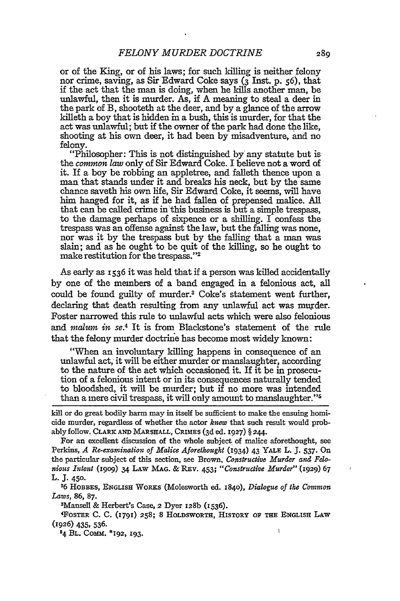or of the King, or of his laws; for such killing is neither felony nor crime, saving, as Sir Edward Coke says (3 Inst. p. 56), that if the act that the man is doing, when he kills another man, be unlawful, then it is murder. As, if A meaning to steal a deer in the park of B, shooteth at the deer, and by a glance of the arrow killeth a boy that is hidden in a bush, this is murder, for that the act was unlawful; but if the owner of the park had done the like, shooting at his own deer, it had been by misadventure, and no felony.

"Philosopher: This is not distinguished by any statute but is the *common law* only of Sir Edward Coke. I believe not a word of it. If a boy be robbing an appletree, and falleth thence upon a man that stands under it and breaks his neck, but by the same chance saveth his own life, Sir Edward Coke, it seems, will have him hanged for it, as if he had fallen of prepensed malice. All that can be called crime in'this business is but a simple trespass, to the damage perhaps of sixpence or a shilling. I confess the trespass was an offense against the law, but the falling was none, nor was it by the trespass but by the falling that a man was slain; and as he ought to be quit of the killing, so he ought to make restitution for the trespass."<sup>2</sup>

As early as **1536** it was held that if a person was killed accidentally by one of the members of a band engaged in a felonious act, all could be found guilty of murder.3 Coke's statement went further, declaring that death resulting from any unlawful act was murder. Foster narrowed this rule to unlawful acts which were also felonious and *malum in se.4* It is from Blackstone's statement of the rule that the felony murder doctrine has become most widely known:

"When an involuntary killing happens in consequence of an unlawful act, it will be either murder or manslaughter, according to the nature of the act which occasioned it. If it be in prosecution of a felonious intent or in its consequences naturally tended to bloodshed, it will be murder; but if no more was intended than a mere civil trespass, it will only amount to manslaughter."5

kill or do great bodily harm may in itself be sufficient to make the ensuing homicide murder, regardless of whether the actor *knew* that such result would probably follow. **CLARK AND MARSHALL,** CRIMES (3d ed. 1927) § **244.**

For an excellent discussion of the whole subject of malice aforethought, see Perkins, *A Re-examination of Malice Aforethought* (1934) 43 YALE L. **J. 537.** On the particular subject of this section, see Brown, *Constructive Murder and Felonious Intent* **(1909)** 34 LAw **MAG. & REv. 453;** *"Constructive Murder"* (z929) **67 L. J. 450.**

**26** HOBBES, **ENGLISH** WORKS (Molesworth ed. 1840), *Dialogue of the Common Laws,* **86, 87.**

3Mansell & Herbert's Case, **2** Dyer 128b (I536). <sup>4</sup>

FoSTER **C. C.** (1791) 258; 8 **HOLDSWORTH,** HISTORY OF THE ENGLISH LAW **(1926)** 435, 536.

**54** BL. **COMM.** \*192, 193.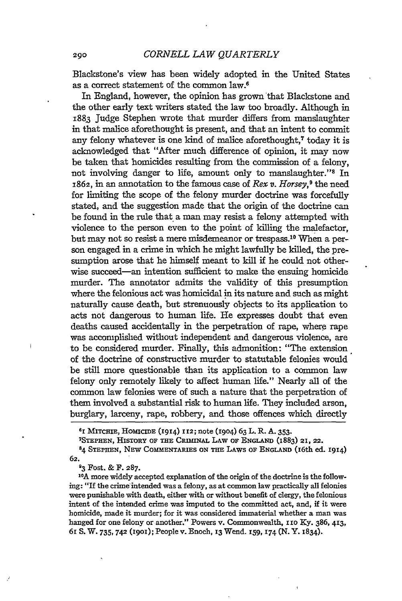Blackstone's view has been widely adopted in the United States as a correct statement of the common law.6

In England, however, the opinion has grown that Blackstone and the other early text writers stated the law too broadly. Although in 1883 Judge Stephen wrote that murder differs from manslaughter in that malice aforethought is present, and that an intent to commit any felony whatever is one kind of malice aforethought,<sup>7</sup> today it is acknowledged that "After much difference of opinion, it may now be taken that homicides resulting from the commission of a felony, not involving danger to life, amount only to manslaughter."<sup>8</sup> In 1862, in an annotation to the famous case of *Rex v. Horsey,9* the need for limiting the scope of the felony murder doctrine was forcefully stated, and the suggestion made that the origin of the doctrine can be found in the rule that a man may resist a felony attempted with violence to the person even to the point of killing the malefactor, but may not so resist a mere misdemeanor or trespass.10 When a person engaged in a crime in which he might lawfully be killed, the presumption arose that he himself meant to kill if he could not otherwise succeed—an intention sufficient to make the ensuing homicide murder. The annotator admits the validity of this presumption where the felonious act was homicidal in its nature and such as might naturally cause death, but strenuously objects to its application to acts not dangerous to human life. He expresses doubt that even deaths caused accidentally in the perpetration of rape, where rape was accomplished without independent and dangerous violence, are to be considered murder. Finally, this admonition: "The extension of the doctrine of constructive murder to statutable felonies would be still more questionable than its application to a common law felony only remotely likely to affect human life." Nearly all of the common law felonies were of such a nature that the perpetration of them involved a substantial risk to human life. They included arson, burglary, larceny, rape, robbery, and those offences which directly

**<sup>61</sup>**MITCHE, HOMICIDE (1914) **1I2;** note (1904) 63 L. R. A. 353. 7

STEPHEN, HISTORY OF THE CRIMINAL LAW OF ENGLAND (1883) 21, 22.

**84 STEPHEN,** NEW COMMENTARIES ON THE LAWS OF **ENGLAND** (16th ed. 1914) **62.**

**<sup>93</sup>**Fost. & F. **287.**

 $\mathbf{I}$ 

**10A** more widely accepted explanation of the origin of the doctrine is the following: "If the crime intended was a felony, as at common law practically all felonies were punishable with death, either with or without benefit of clergy, the felonious intent of the intended crime was imputed to the committed act, and, if it were homicide, made it murder; for it was considered immaterial whether a man was hanged for one felony or another." Powers v. Commonwealth, *110* Ky. 386, 413, **61** S. W. **735, 742** (i9oi); People v. Enoch, 13 Wend. **159, 174** (N. Y. 1834).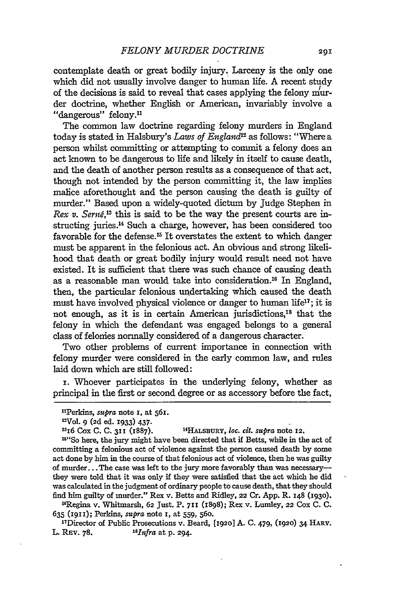contemplate death or great bodily injury. Larceny is the only one which did not usually involve danger to human life. A recent study of the decisions is said to reveal that cases applying the felony murder doctrine, whether English or American, invariably involve a "dangerous" felony.<sup>11</sup>

The common law doctrine regarding felony murders in England today is stated in Halsbury's *Laws of England<sup>2</sup>*as follows: "Where a person whilst committing or attempting to commit a felony does an act known to be dangerous to life and likely in itself to cause death, and the death of another person results as a consequence of that act, though not intended by the person committing it, the law implies malice aforethought and the person causing the death is guilty of murder." Based upon a widely-quoted dictum by Judge Stephen in *Rex v. Serné*<sup>13</sup> this is said to be the way the present courts are instructing juries.14 Such a charge, however, has been considered too favorable for the defense.<sup>15</sup> It overstates the extent to which danger must be apparent in the felonious act. An obvious and strong likelihood that death or great bodily injury would result need not have existed. It is sufficient that there was such chance of causing death as a reasonable man would take into consideration.16 In England, then, the particular felonious undertaking which caused the death must have involved physical violence or danger to human life $^1$ ; it is not enough, as it is in certain American jurisdictions,<sup>18</sup> that the felony in which the defendant was engaged belongs to a general class of felonies normally considered of a dangerous character.

Two other problems of current importance in connection with felony murder were considered in the early common law, and rules laid down which are still followed:

**i.** Whoever participates in the underlying felony, whether as principal in the first or second degree or as accessory before the fact,

15"So here, the jury might have been directed that if Betts, while in the act of committing a felonious act of violence against the person caused death **by** some act done **by** him in the course of that felonious act of violence, then he was guilty of murder... The case was left to the jury more favorably than was necessarythey were told that it was only **if** they were satisfied that the act which he did was calculated in the judgment of ordinary people to cause death, that they should find him guilty of murder." Rex v. Betts and Ridley, **22** Cr. **App.** R. **148 (1930).**

1 6 Regina v. Whitmarsh, **62** Just. P. **7H1** (1898); Rex v. Lumley, **22** Cox **C. C. 635 (191);** Perkins, *supra* note I, at 559, **560.**

"Director of Public Prosecutions v. Beard, **[1920] A. C.** 479, **(1920)** 34 **HARV.** L. **REv. 78.** *l 8 lnfra* at **p. 294.**

**<sup>&</sup>quot;Perldns,** supra note **I,** at 561.

<sup>&#</sup>x27;Vol. **9 (2d** ed. **1933)** 437.

<sup>1316</sup> Cox **C. C. 311** (1887). **1 4 HALSBURY,** *1oC. cit. supra* note **12.**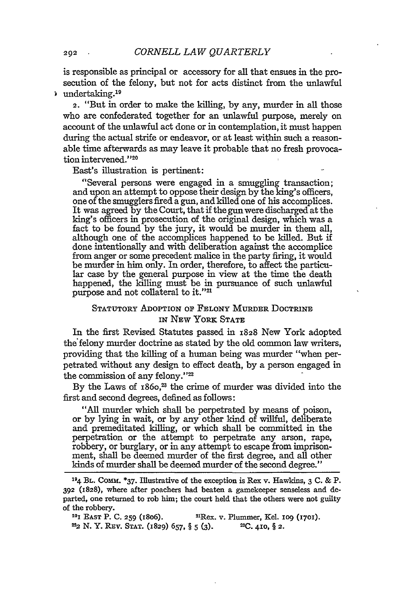is responsible as principal or accessory for all that ensues in the prosecution of the felony, but not for acts distinct from the unlawful undertaking. <sup>19</sup>

2. "But in order to make the killing, by any, murder in all those who are confederated together for an unlawful purpose, merely on account of the unlawful act done or in contemplation, it must happen during the actual strife or endeavor, or at least within such a reasonable time afterwards as may leave it probable that no fresh provocation intervened."<sup>20</sup>

East's illustration is pertinent:

"Several persons were engaged in a smuggling transaction; and upon an attempt to oppose their design by the king's officers, one of the smugglers fired a gun, and killed one of his accomplices. It was agreed by the Court, that if the gun were discharged at the king's officers in prosecution of the original design, which was a fact to be found by the jury, it would be murder in them all, although one of the accomplices happened to be killed. But if done intentionally and with deliberation against the accomplice from anger or some precedent malice in the party firing, it would be murder in him only. In order, therefore, to affect the particular case by the general purpose in view at the time the death happened, the killing must be in pursuance of such unlawful purpose and not collateral to it."<sup>21</sup>

# STATUTORY ADOPTION OF **FELONY MURDER DOCTRINE IN** NEW YORK **STATE**

In the first Revised Statutes passed in **1828** New York adopted the felony murder doctrine as stated by the old common law writers, providing that the killing of a human being was murder "when perpetrated without any design to effect death, by a person engaged in the commission of any felony."22

By the Laws of 1860,<sup>23</sup> the crime of murder was divided into the first and second degrees, defined as follows:

"All murder which shall be perpetrated by means of poison, or by lying in wait, or by any other kind of willful, deliberate and premeditated killing, or which shall be committed in the perpetration or the attempt to perpetrate any arson, rape, robbery, or burglary, or in any attempt to escape from imprisonment, shall be deemed murder of the first degree, and all other kinds of murder shall be deemed murder of the second degree."

**<sup>194</sup>**BL. Comm. \*37. Illustrative of the exception is Rex v. Hawkins, 3 C. & P. **392** (1828), where after poachers had beaten a gamekeeper senseless and departed, one returned to rob him; the court held that the others were not guilty of the robbery.

201 EAST P. C. **259** (1806). 2Rex. v. Plummer, Kel. **1o9** (1701). 22 **N.** Y. REv. STAT. (1829) **657,** § **5 (3). 2C.** 410, § **2.**

**21)2**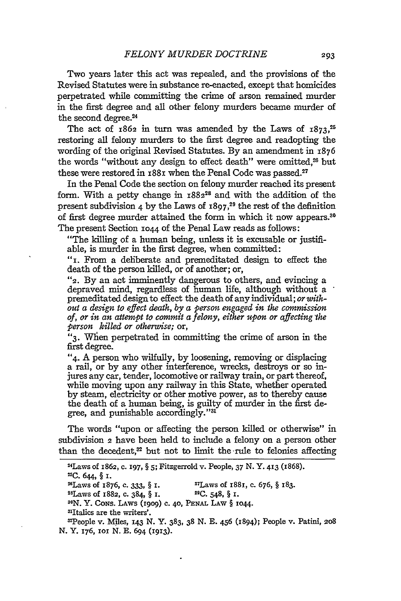Two years later this act was repealed, and the provisions of the Revised Statutes were in substance re-enacted, except that homicides perpetrated while committing the crime of arson remained murder in the first degree and all other felony murders became murder of the second degree.<sup>24</sup>

The act of 1862 in turn was amended **by** the Laws of **1873,** restoring all felony murders to the first degree and readopting the wording of the original Revised Statutes. **By** an amendment in 1876 the words "without any design to effect death" were omitted.<sup>26</sup> but these were restored in 1881 when the Penal Code was passed.<sup>27</sup>

In the Penal Code the section on felony murder reached its present form. With a petty change in 188228 and with the addition of the present subdivision 4 **by** the Laws of **1897,29** the rest of the definition of first degree murder attained the form in which it now appears.1 The present Section **1044** of the Penal Law reads as follows:

"The killing of a human being, unless it is excusable or justifiable, is murder in the first degree, when committed:

**"i.** From a deliberate and premeditated design to effect the death of the person killed, or of another; or,

**"2. By** an act imminently dangerous to others, and evincing a depraved mind, regardless of human life, although without a premeditated design to effect the death of any **individual;** *or without a design to effect death, by a person engaged in the commission of, or in an attempt to commit a felony, either upon or affecting the*

*person killed or otherwise;* or, "3. When perpetrated in committing the crime of arson in the first degree.

"4. A person who wilfully, by loosening, removing or displacing a rail, or by any other interference, wrecks, destroys or so injures any car, tender, locomotive or railway train, or part thereof, while moving upon any railway in this State, whether operated by steam, electricity or other motive power, as to thereby cause the death of a human being, is guilty of murder in the first degree, and punishable accordingly."<sup>3</sup>

The words "upon or affecting the person killed or otherwise" in subdivision **2** have been held to include a felony on a person other than the decedent,<sup>32</sup> but not to limit the rule to felonies affecting

2 ALaws of 1862, **C. 197, § 5;** Fitzgerrold v. People, 37 **N. Y. 413 (z868). 25C.** 644, **§** i. 2Laws of 1876, **c. 333,** § **I.** <sup>27</sup> Laws of 1881, c. 676, § 183. <sup>2</sup> <sup>8</sup> Laws of **1882, C.** 384, § **I. 29C.** 548, § **i.** *<sup>30</sup> N.* Y. **CONS.** LAWS **(1909) C. 40, PENAL** LAW § **1044.** 3ltalics are the writers'. 32People v. Miles, 143 N. Y. 383, **38** N. E. 456 (1894); People v. Patini, **2o8**

**N.** Y. 176, IOI **N. E.** 694 (1913).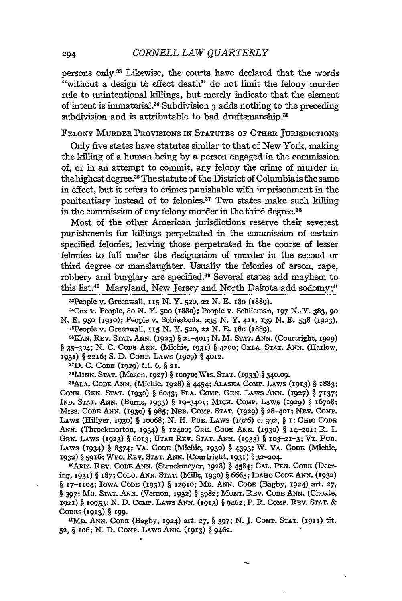persons only." Likewise, the courts have declared that the words "without a design to effect death" do not limit the felony murder rule to unintentional killings, but merely indicate that the element of intent is immaterial.14 Subdivision 3 adds nothing to the preceding subdivision and is attributable to bad draftsmanship.<sup>35</sup>

FELONY MURDER PROVISIONS IN **STATUTES OF** OTHER JURISDICTIONS

Only five states have statutes similar to that of New York, making the killing of a human being **by** a person engaged in the commission of, or in an attempt to commit, any felony the crime of murder in the highest degree.<sup>36</sup> The statute of the District of Columbia is the same in effect, but it refers to crimes punishable with imprisonment in the penitentiary instead of to felonies.37 Two states make such killing in the commission of any felony murder in the third degree.<sup>38</sup>

Most of the other American jurisdictions reserve their severest punishments for killings perpetrated in the commission of certain specified felonies, leaving those perpetrated in the course of lesser felonies to fall under the designation of murder in the second or third degree or manslaughter. Usually the felonies of arson, rape, robbery and burglary are specified.<sup>39</sup> Several states add mayhem to this list.<sup>40</sup> Maryland, New Jersey and North Dakota add sodomy;<sup>41</sup>

"People v. Greenwall, *Ix5* **N. Y. 520, 22** N. **E.** 18o (1889).

UCox v. People, 80 N. Y. **500** (I88O); People v. Schlieman, **I97** N.,Y. 383, **90** N. **E. 950 (I93O);** People v. Sobieskoda, **235** N. Y. 411, 339 N. **E.** 538 **(1923).** "People v. Greenwall, 335 N. Y. **520,** 22 N. **E.** i8o (1889).

**"KAN.** REV. **STAT. ANN.** (1923) § 21-401; N. M. **STAT. ANN.** (Courtright, 1929) § 35-304; N. **C.** CODE **ANN.** (Michie, **1931)** § 42oo; OKLA. **STAT. ANN.** (Harlow, 1931) § 2216; S. D. CoMP. LAWS (1929) § 4012. **7**

**3 D.** C. CODE (1929) tit. 6, § 21.

3 8 MINN. **STAT.** (Mason, 1927) § 10070; WIs. **STAT.** (1933) § 340.09.

**3 9 ALA.** CODE ANN. (Michie, 3928) § 4454; **ALASKA** CoMp. LAws (3913) § 1883; **CONN. GEN. STAT.** (3930) § 6043; **FLA.** COMP. **GEN.** LAWS **ANN. (1927)** § 7137; IND. STAT. ANN. (Burns, 1933) § 10-3401; MICH. COMP. LAWS (1929) § 16708; **MISS. CODE ANN. (1930)** § 985; NEB. CoMp. **STAT.** (1929) § 28-4oI; NEV. COMp. LAws (Hillyer, **1930)** § 30068; N. H. **PUB.** LAws (3926) **c.** 392, § I; OHIO **CODE** ANN. (Throckmorton, 1934) § 12400; ORE. CODE ANN. (1930) § 14-201; R. I. GEN. LAWS (1923) § 6oi3; UTAH REV. **STAT. ANN.** (i933) § 103-21-3; VT. PUB. LAWS (1934) § 8374; VA. CODE (Michie, 1930) § 4393; W. VA. CODE (Michie, 1932) § 5916; Wyo. REv. **STAT.** ANN. (Courtright, 1933) § 32--204. <sup>40</sup>

ARiz. REV. CODE ANN. (Struckmeyer, 1928) § 4584; **CAL. PEN. CODE** (Deering, 1931) § 187; COLO. ANN. **STAT.** (Mills, **3930)** § 6665; IDAHO **CODE** ANN. (932) § 17-1104; IOWA CODE (1931) § 12910; MD. ANN. CODE (Bagby, 1924) art. 27, § **397;** Mo. **STAT. ANN.** (Vernon, 1932) § 3982; MONT. REV. **CODE ANN.** (Choate, 1921) § 10953; N. **D.** CoMp. LAws **ANN.** (1913) § 9462; P. R. CoMP. REv. **STAT.** & CODES (1913) § 199.

MD. **ANN. CODE** (Bagby, **1924)** art. **27,** § 397; **N. J.** CoMp. **STAT.** (i933) tit. 52, § 106; N. D. Comp. Laws Ann. (1913) § 9462.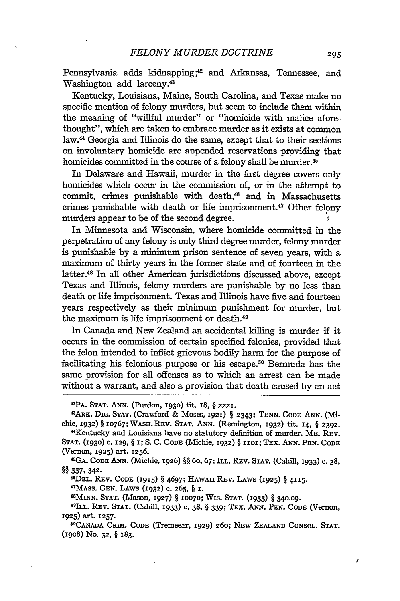Pennsylvania adds kidnapping;<sup>42</sup> and Arkansas, Tennessee, and Washington add larceny.<sup>43</sup>

Kentucky, Louisiana, Maine, South Carolina, and Texas make no specific mention of felony murders, but seem to include them within the meaning of "willful murder" or "homicide with malice aforethought", which are taken to embrace murder as it exists at common law.<sup>44</sup> Georgia and Illinois do the same, except that to their sections on involuntary homicide are appended reservations providing that homicides committed in the course of a felony shall be murder.<sup>45</sup>

In Delaware and Hawaii, murder in the first degree covers only homicides which occur in the commission of, or in the attempt to commit, crimes punishable with death,<sup>46</sup> and in Massachusetts crimes punishable with death or life imprisonment.<sup>47</sup> Other felony murders appear to be of the second degree.

In Minnesota and Wisconsin, where homicide committed in the perpetration of any felony is only third degree murder, felony murder is punishable by a minimum prison sentence of seven years, with a maximum of thirty years in the former state and of fourteen in the latter.<sup>48</sup> In all other American jurisdictions discussed above, except Texas and Illinois, felony murders are punishable by no less than death or life imprisonment. Texas and Illinois have five and fourteen years respectively as their minimum punishment for murder, but the maximum is life imprisonment or death.<sup>49</sup>

In Canada and New Zealand an accidental killing is murder if it occurs in the commission of certain specified felonies, provided that the felon intended to inflict grievous bodily harm for the purpose of facilitating his felonious purpose or his escape.<sup>50</sup> Bermuda has the same provision for all offenses as to which an arrest can be made without a warrant, and also a provision that death caused by an act

<sup>4</sup> ARK. **DIG. STAT.** (Crawford & Moses, **1921)** § **2343; TENN. CODE ANN.** (Michie, **1932)** § **10767;** WAsH. REv. **STAT. ANN.** (Remington, **1932)** tit. **I4,** § **2392.** 4Kentucky and Louisiana have no statutory definition of murder. ME. REv.

1GA. **CODE ANN.** (Michie, **1926)** §§ 6o, 67; ILL. REV. **STAT.** (Cahill, 1933) **c.** 38, **§§ 337, 342.**

46DEL. REv. **CODE (I915)** § **4697;** HAWAII REV. LAWS **(1925)** § **4115.**

47MAss. GEN. LAWS (1932) **C. 265,** § I. **<sup>48</sup>**

**MINN. STAT.** (Mason, 1927) § **10070;** WIs. **STAT.** (1933) § **340.09.**

49ILL. REV. STAT. (Cahill, 1933) c. 38, § 339; TEX. ANN. PEN. CODE (Vernon, **1925)** art. 1257. **<sup>50</sup>**

**CANADA CRIM. CODE** (Tremeear, **1929) 260; NEW ZEALAND CONSOL. STAT. (I908)** No. **32,** § **183.**

í

EPA. **STAT.** ANN. (Purdon, **1930)** tit. I8, § **2221.**

STAT. (1930) c. 129, § 1; S. C. CODE (Michie, 1932) § 1101; TEX. ANN. PEN. CODE (Vernon, 1925) art. **1256.** <sup>4</sup>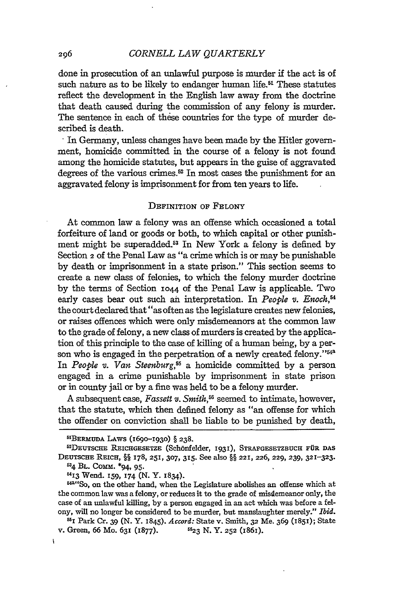done in prosecution of an unlawful purpose is murder if the act is **of** such nature as to be likely to endanger human life.<sup>51</sup> These statutes reflect the development in the English law away from the doctrine that death caused during the commission of any felony is murder. The sentence in each of these countries for the type of murder described is death.

In Germany, unless changes have been made by the Hitler government, homicide committed in the course of a felony is not found among the homicide statutes, but appears in the guise of aggravated degrees of the various crimes.<sup>52</sup> In most cases the punishment for an aggravated felony is imprisonment for from ten years to life.

#### DEFINITION **OF FELONY**

At common law a felony was an offense which occasioned a total forfeiture of land or goods or both, to which capital or other punishment might be superadded.53 In New York a felony is defined by Section **2** of the Penal Law as "a crime which is or may be punishable by death or imprisonment in a state prison." This section seems to create a new class of felonies, to which the felony murder doctrine by the terms of Section 1044 of the Penal Law is applicable. Two early cases bear out such an interpretation. In *People v. Enoch,54* the court declared that "as often as the legislature creates new felonies, or raises offences which were only misdemeanors at the common law to the grade of felony, a new class of murders is created by the application of this principle to the case of killing of a human being, by a person who is engaged in the perpetration of a newly created felony."<sup>543</sup> In *People v. Van Steenburg,55* a homicide committed by a person engaged in a crime punishable by imprisonment in state prison or in county jail or by a fine was held to be a felony murder.

A subsequent case, *Fassett v. Smith,"6* seemed to intimate, however, that the statute, which then defined felony as "an offense for which the offender on conviction shall be liable to be punished by death,

64 **BL.** COmm. \*94, **95-**

j,

5113 Wend. **I59,** 174 (N. Y. 1834).

206

**<sup>51</sup> BERMUDA** LAWS (1690-1930) § **238.** <sup>52</sup>

DEUTSCHE REICHGESETZE (Sch6nfelder, **1931), STRAFGESETZBUCH FUR DAS** DEUTSCHE REICH, §§ **178, 251, 307, 315.** See also §§ **221, 226,** 229, **239, 321-323.**

 $144^{44}$ So, on the other hand, when the Legislature abolishes an offense which at the common law was a felony, or reduces it to the grade of misdemeanor only, the case of an unlawful killing, by a person engaged in an act which was before a felony, will no longer be considered to be murder, but manslaughter merely." *Ibid.*

<sup>551</sup> Park Cr. 39 (N. Y. x845). *Accord:* State v. Smith, **32** Me. 369 (i85i); State v. Green, 66 Mo. **631** (1877). **623** *N.* Y. **252** (1861).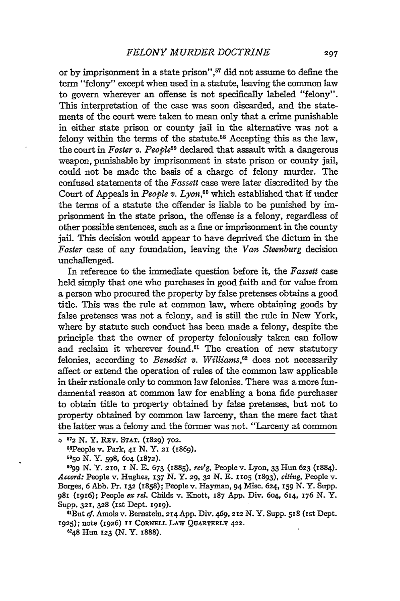or by imprisonment in a state prison",<sup>57</sup> did not assume to define the term "felony" except when used in a statute, leaving the common law to govern wherever an offense is not specifically labeled "felony". This interpretation of the case was soon discarded, and the statements of the court were taken to mean only that a crime punishable in either state prison or county jail in the alternative was not a felony within the terms of the statute.<sup>58</sup> Accepting this as the law, the court in *Foster v. People*<sup>59</sup> declared that assault with a dangerous weapon, punishable by imprisonment in state prison or county jail, could not be made the basis of a charge of felony murder. The confused statements of the *Fassett* case were later discredited by the Court of Appeals in *People v. Lyon,"°* which established that if under the terms of a statute the offender is liable to be punished by imprisonment in the state prison, the offense is a felony, regardless of other possible sentences, such as a fine or imprisonment in the county jail. This decision would appear to have deprived the dictum in the *Foster* case of any foundation, leaving the *Van Steenburg* decision unchallenged.

In reference to the immediate question before it, the *Fassett* case held simply that one who purchases in good faith and for value from a person who procured the property by false pretenses obtains a good title. This was the rule at common law, where obtaining goods by false pretenses was not a felony, and is still the rule in New York, where by statute such conduct has been made a felony, despite the principle that the owner of property feloniously taken can follow and reclaim it wherever found.<sup>61</sup> The creation of new statutory felonies, according to *Benedict v. Williams,'2* does not necessarily affect or extend the operation of rules of the common law applicable in their rationale only to common law felonies. There was a more fundamental reason at common law for enabling a bona fide purchaser to obtain title to property obtained by false pretenses, but not to property obtained by common law larceny, than the mere fact that the latter was a felony and the former was not. "Larceny at common

**<sup>6099</sup>**N. Y. 210, **I** N. E. **673** (1885), *re'g,* People v. Lyon, **33** Hun **623** (1884). *Accord:* People v. Hughes, **137** N. Y. 29, **32** N. E. **1105** (1893), *citing,* People v. Borges, 6 Abb. Pr. **132** (1858); People v. Hayman, 94 Misc. 624, **159** N. Y. Supp. **981** (1916); People *ex rel.* Childs v. Knott, **187** App. Div. 604, 614, **176** N. Y. **Supp. 321, 328** (Ist Dept. igig).

"'But *cf.* Amols v. Bernstein, 214 App. Div. 469,212 N. Y. Supp. **518** (Ist Dept. **1925);** note **(1926) II CORNELL LAW QUARTERLY 422.**

6248 Hun **123 (N.** Y. 1888).

**<sup>572</sup>**N. Y. **REv. STAT.** (1829) **702.** ksPeople v. Park, **41 N.** Y. 21 (1869). 595o **N.** Y. 598, 604 **(1872).**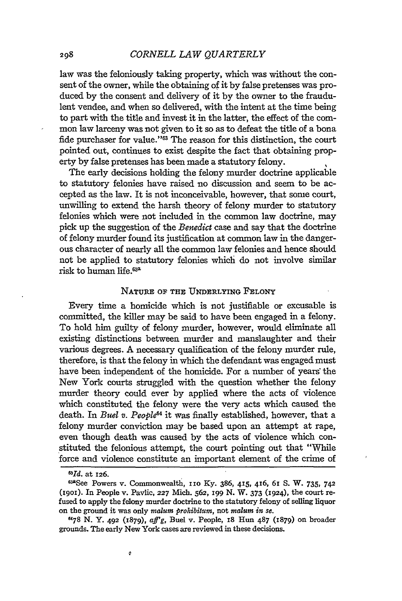law was the feloniously taking property, which was without the consent of the owner, while the obtaining of it by false pretenses was produced by the consent and delivery of it by the owner to the fraudulent vendee, and when so delivered, with the intent at the time being to part with the title and invest it in the latter, the effect of the common law larceny was not given to it so as to defeat the title of a bona fide purchaser for value."<sup>63</sup> The reason for this distinction, the court pointed out, continues to exist despite the fact that obtaining property by false pretenses has been made a statutory felony.

The early decisions holding the felony murder doctrine applicable to statutory felonies have raised no discussion and seem to be accepted as the law. It is not inconceivable, however, that some court, unwilling to extend the harsh theory of felony murder to statutory felonies which were not included in the common law doctrine, may pick up the suggestion of the *Benedict* case and say that the doctrine of felony murder found its justification at common law in the dangerous character of nearly all the common law felonies and hence should not be applied to statutory felonies which do not involve similar risk to human life.63a

#### NATURE OF **THE UNDERLYING FELONY**

Every time a homicide which is not justifiable or excusable is committed, the killer may be said to have been engaged in a felony. To hold him guilty of felony murder, however, would eliminate all existing distinctions between murder and manslaughter and their various degrees. A necessary qualification of the felony murder rule, therefore, is that the felony in which the defendant was engaged must have been independent of the homicide. For a number of years the New York courts struggled with the question whether the felony murder theory could ever **by** applied where the acts of violence which constituted the felony were the very acts which caused the death. In *Buel v. People<sup>64</sup>* it was finally established, however, that a felony murder conviction may be based upon an attempt at rape, even though death was caused **by** the acts of violence which constituted the felonious attempt, the court pointing out that "While force and violence constitute an important element of the crime of

ø

*<sup>0</sup>Id.* at **126.**

<sup>6</sup>See Powers v. Commonwealth, nIo Ky. 386, **415,** 46, **6i S.** W. **735,** <sup>742</sup> (igoi). In People v. Pavlie, **227** Mich. **562, I99 N.** W. **373** (1924), the court re- fused to apply the felony murder doctrine to the statutory felony of selling liquor on the ground it was only malum *prohibitum,* not *malum in se.*

**<sup>&</sup>quot;78** N. **Y.** 492 **(1879), a~fg,** Buel v. People, I8 Hun **487** (1879) on broader grounds. The early New York cases are reviewed in these decisions.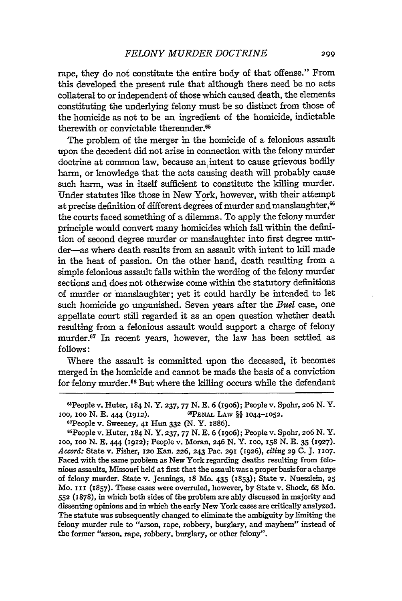rape, they do not constitute the entire body of that offense." From this developed the present rule that although there need be no acts collateral to or independent of those which caused death, the elements constituting the underlying felony must be so distinct from those of the homicide as not to be an ingredient of the homicide, indictable therewith or convictable thereunder.<sup>65</sup>

The problem of the merger in the homicide of a felonious assault upon the decedent did not arise in connection with the felony murder doctrine at common law, because an, intent to cause grievous bodily harm, or knowledge that the acts causing death will probably cause such harm, was in itself sufficient to constitute the killing murder. Under statutes like those in New York, however, with their attempt at precise definition of different degrees of murder and manslaughter,<sup>66</sup> the courts faced something of a dilemma. To apply the felony murder principle would convert many homicides which fall within the definition of second degree murder or manslaughter into first degree murder-as where death results from an assault with intent to kill made in the heat of passion. On the other hand, death resulting from a simple felonious assault falls within the wording of the felony murder sections and does not otherwise come within the statutory definitions of murder or manslaughter; yet it could hardly be intended to let such homicide go unpunished. Seven years after the *Buel* case, one appellate court still regarded it as an open question whether death resulting from a felonious assault would support a charge of felony murder.<sup>67</sup> In recent years, however, the law has been settled as follows:

Where the assault is committed upon the deceased, it becomes merged in the homicide and cannot be made the basis of a conviction for felony murder. 8 But where the killing occurs while the defendant

6 1People v. Huter, 184 N. Y. **237, 77** N. E. 6 (19o6); People v. Spohr, **206** N. Y. ioo, ioo N. E. 444 (1912). **6PENAL** LAW §§ 1044-1052.

People v. Sweeney, 41 Hun **332** (N. Y. **1886).** <sup>6</sup> People v. Huter, 184 N. Y. 237, **77** N. E. 6 (19o6); People v. Spohr, **206** N. Y. ioo, **ioo** N. E. 444 (1912); People v. Moran, 246 N. Y. 1oo, **158** N. E. 35 **(1927).** *Accord:* State v. Fisher, **120** Kan. **226, 243** Pac. **291** (1926), Citing **29 C. J. 1107.** Faced with the same problem as New York regarding deaths resulting from felonious assaults, Missouri held at first that the assault was a proper basis for a charge of felony murder. State v. Jennings, **x8** Mo. 435 **(1853);** State v. Nuesslein, **25** Mo. **I Ii (1857).** These cases were overruled, however, **by** State v. Shock, **68** Mo. **552** (1878), in which both sides of the problem are ably discussed in majority and dissenting opinions and in which the early New York cases are critically analyzed. The statute was subsequently changed to eliminate the ambiguity **by** limiting the felony murder rule to "arson, rape, robbery, burglary, and mayhem" instead of the former "arson, rape, robbery, burglary, or other felony".

<sup>&</sup>quot; 7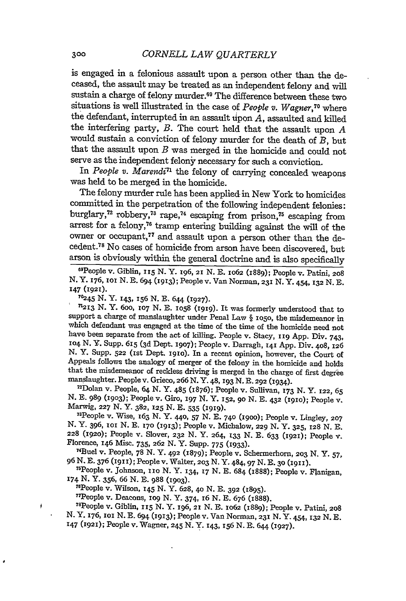is engaged in a felonious assault upon a person other than the deceased, the assault may be treated as an independent felony and will sustain a charge of felony murder.<sup>69</sup> The difference between these two situations is well illustrated in the case of *People v. Wagner,70* where the defendant, interrupted in an assault upon  $\overline{A}$ , assaulted and killed the interfering party, *B.* The court held that the assault upon *<sup>A</sup>* would sustain a conviction of felony murder for the death of *B,* but that the assault upon *B* was merged in the homicide and could not serve as the independent felony necessary for such a conviction.

In *People v. Marendi<sup>71</sup>* the felony of carrying concealed weapons was held to be merged in the homicide.

The felony murder rule has been applied in New York to homicides committed in the perpetration of the following independent felonies: burglary, $72$  robbery, $73$  rape, $74$  escaping from prison, $75$  escaping from arrest for a felony,<sup>76</sup> tramp entering building against the will of the owner or occupant,<sup>77</sup> and assault upon a person other than the decedent.78 No cases of homicide from arson have been discovered, but arson is obviously within the general doctrine and is also specifically

69 People v. Giblin, **115** N. Y. 196, 21 N. **E.** 1o62 (1889); People v. Patini, **<sup>208</sup>** N. Y. 176, ioi N. E. 694 (i913); People v. Van Norman, **231** N. Y. 4 54, **132** N. **E.** 147 (1921).<br><sup>70</sup>245 N. Y. 143, 156 N. E. 644 (1927).

**70245 N.** Y. **143,** i56 **N. E.** 644 **(1927). <sup>7213</sup>**N. Y. 6o0, **107** N. E. io58 **(I919).** It was formerly understood that to support a charge of manslaughter under Penal Law § io5o, the misdemeanor in which defendant was engaged at the time of the time of the homicide need not have been separate from the act of killing. People v. Stacy, *ii9* App. Div. 743, io4 N. Y. Supp. **6x5** (3d Dept. **1907);** People v. Darragh, **141** App. Div. 4o8, **<sup>726</sup> N.** Y. Supp. **522** (1st Dept. i9io). In a recent opinion, however, the Court of Appeals follows the analogy of merger of the felony in the homicide and holds that the misdemeanor of reckless driving is merged in the charge of first degree manslaughter. People v. Grieco, 266 N.Y. 48, 193 N.E. 292 (1934).

7 Dolan v. People, 64 N. Y. 485 (1876); People v. Sullivan, **173** N. Y. 122, **<sup>65</sup>** N. E. 989 (i9o3); People v. Giro, **197** N. Y. **152, 90** N. E. 432 (I9io); People v. Marwig, **227 N.** Y. **382,** 125 N. E. **535 (I919).** <sup>73</sup>

People v. Wise, **163** N. Y. 440, **57** N. **E. 740** (i9oo); People v. Lingley, **207** N. Y. **396,** ioi N. **E. 170 (1913);** People v. Michalow, **229 N. Y. 325, 128** N. **E. 228 (1920);** People v. Slover, **232 N.** Y. 264, **133** N. **E.** 633 **(1921);** People v. Florence, **146** Misc. 735, **262** N. Y. Supp. **775** (I933). <sup>74</sup>

Buel v. People, 78 N. Y. 492 (1879); People v. Schermerhorn, **203** N. Y. 57, <sup>96</sup>**N. .** <sup>376</sup>**(i911);** Peoplev. Walter, **203 N.** Y. 484,97 **N.** *B.* **3o (1911).** <sup>75</sup>

People v. Johnson, ixo **N.** Y. 134, **17** N. E. 684 (1888); People v. Flanigan, **174 N.** Y. 356, 66 **N. E.** 988 **(I9O3).** <sup>7</sup> People v. Wilson, **145** N. Y. **628,** 4o N. **E. 392** (7895).

<sup>77</sup>People v. Deacons, 109 N. Y. 374, 16 N. E. 676 (1888).

People v. Giblin, *xi5* N. Y. 196, 2z N. E. io62 **(1889);** People v. Patini, 208 N. Y. 176, ioi N. . <sup>694</sup>**(1913);** People v. Van Norman, **231** N. Y. 4 54, **132** N. E. 147 (1927); People v. Wagner, 245 **N.** Y. x43, **156** N. **E.** 644 (1927).

ţ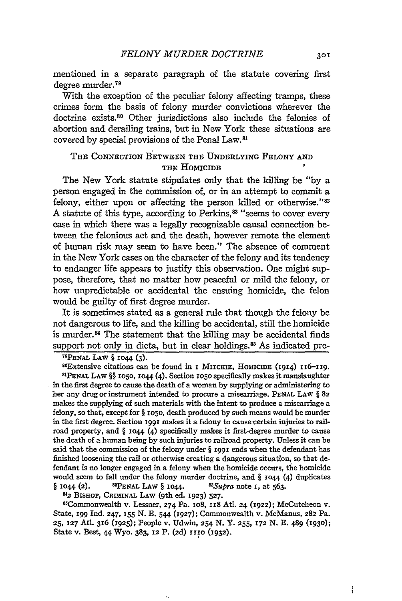mentioned in a separate paragraph of the statute covering first degree murder.79

With the exception of the peculiar felony affecting tramps, these crimes form the basis of felony murder convictions wherever the doctrine exists.80 Other jurisdictions also include the felonies of abortion and derailing trains, but in New York these situations are covered by special provisions of the Penal Law.<sup>81</sup>

# **THE CONNECTION** BETWEEN **THE UNDERLYING FELONY AND THE HOMICIDE**

The New York statute stipulates only that the killing be **"by a** person engaged in the commission of, or in an attempt to commit a felony, either upon or affecting the person killed or otherwise." $82$ A statute of this type, according to Perkins,<sup>83</sup> "seems to cover every case in which there was a legally recognizable causal connection between the felonious act and the death, however remote the element of human risk may seem to have been." The absence of comment in the New York cases on the character of the felony and its tendency to endanger life appears to justify this observation. One might **sup**pose, therefore, that no matter how peaceful or mild the felony, or how unpredictable or accidental the ensuing homicide, the felon would be guilty of first degree murder.

It is sometimes stated as a general rule that though the felony be not dangerous to life, and the killing be accidental, still the homicide is murder.<sup>84</sup> The statement that the killing may be accidental finds support not only in dicta, but in clear holdings.<sup>85</sup> As indicated pre-

**71PENAL** LAW § **1044** (3).

80Extensive citations can be found in *I* MITCHIE, HOMICIDE (1914) 116-119 **PENAL LAW** §§ Io5o, **1044 (4).** Section **io5o** specifically makes it manslaughter in the first degree to cause the death of a woman **by** supplying or administering to her any drug or instrument intended to procure a miscarriage. **PENAL LAW** § **82** makes the supplying of such materials with the intent to produce a miscarriage a felony, so that, except for § io5o, death produced **by** such means would be murder in the first degree. Section **1991** makes it a felony to cause certain injuries to railroad property, and § **1o44** (4) specifically makes it first-degree murder to cause the death of a human being by such injuries to railroad property. Unless it can be said that the commission of the felony under § iggi ends when the defendant has finished loosening the rail or otherwise creating a dangerous situation, so that defendant is no longer engaged in a felony when the homicide occurs, the homicide would seem to fall under the felony murder doctrine, and  $\S$  1044 (4) duplicates § **1044** (2). **8PENAL** LAW § **i044.** *83Supra* note **i,** at 563. <sup>82</sup>**BIsHoP,** CRIMINAL **LAW** (9th ed. **1923) 527.**

mCommonwealth v. Lessner, 274 Pa. io8, **118** Atl. 24 (1922); McCutcheon v. State, **199** Ind. 247, 155 **N.** E. 544 **(1927);** Commonwealth v. McManus, **28** Pa. **25, 127** Atl. **316 (1925);** People v. Udwin, **254 N.** Y. **255, 172 N. E.** 489 **(1930);** State v. Best, **44** Wyo. **383, 12** P. **(2d)** IIIO **(1932).**

ł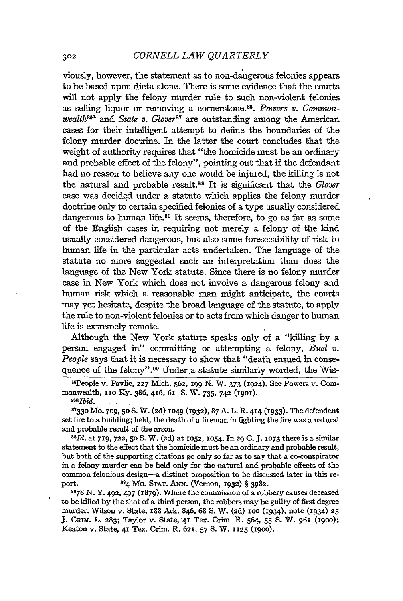viously, however, the statement as to non-dangerous felonies appears to be based upon dicta alone. There is some evidence that the courts will not apply the felony murder rule to such non-violent felonies as selling liquor or removing a cornerstone.<sup>86</sup>. Powers v. Common*wealth*<sup>862</sup> and *State v. Glover<sup>87</sup>* are outstanding among the American cases for their intelligent attempt to define the boundaries of the felony murder doctrine. In the latter the court concludes that the weight of authority requires that "the homicide must be an ordinary and probable effect of the felony", pointing out that if the defendant had no reason to believe any one would be injured, the killing is not the natural and probable result.88 It is significant that the *Glover* case was decided under a statute which applies the felony murder doctrine only to certain specified felonies of a type usually considered dangerous to human life. $89$  It seems, therefore, to go as far as some of the English cases in requiring not merely a felony of the kind usually considered dangerous, but also some foreseeability of risk to human life in the particular acts undertaken. The language of the statute no more suggested such an interpretation than does the language of the New York statute. Since there is no felony murder case in New York which does not involve a dangerous felony and human risk which a reasonable man might anticipate, the courts may yet hesitate, despite the broad language of the statute, to apply the rule to non-violent felonies or to acts from which danger to human life is extremely remote.

 $\bar{I}$ 

Although the New York statute speaks only of a "killing by a person engaged in" committing or attempting a felony, *Buel v. People* says that it is necessary to show that "death ensued in consequence of the felony".<sup>90</sup> Under a statute similarly worded, the Wis-

85 People v. Pavlic, **227** Mich. **562, I99 N.** W. 373 (1924). See Powers v. Commonwealth, **110 Ky.** 386, 416, 61 S. W. 735, 742 (1901). *ssa Ibid.* 

**8733o** Mo. **709, 50** S. W. **(2d)** 1049 **(1932),** 87 A. L. R. 414 (1933). The defendant set fire to a building; held, the death of a fireman in fighting the fire was a natural and probable result of the arson. *<sup>88</sup> d.* at **719, 722, 50 S.** W. **(2d)** at **1052, 1054.** In **29 C. J. 1073** there is a similar

statement to the effect that the homicide must be an ordinary and probable result, but both of the supporting citations go only so far as to say that a co-conspirator in a felony murder can be held only for the natural and probable effects of the common felonious design-a distinct-proposition to be discussed later in this report. **894** Mo. **STAT. ANN.** (Vernon, **1932)** § **3982.**

**'078** N. Y. **<sup>4</sup> 92,** 497 (1879). Where the commission of a robbery causes deceased to be killed by the shot of a third person, the robbers may be guilty of first degree murder. Wilson v. State, 188 Ark. 846, 68 **S.** W. **(2d) oo** (1934), note (1934) **<sup>25</sup> J.** CRm. L. **283;** Taylor v. State, 4' Tex. Crim. R. 564, **55** S. W. **961** (igoo); Keaton v. State, 41 Tex. Crim. R. **621, 57 S.** W. **1125 (1900).**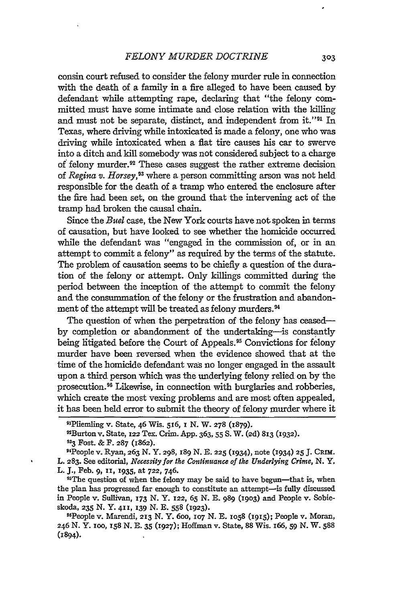consin court refused to consider the felony murder rule in connection with the death of a family in a fire alleged to have been caused by defendant while attempting rape, declaring that "the felony committed must have some intimate and close relation with the killing and must not be separate, distinct, and independent from it."<sup>91</sup> In Texas, where driving while intoxicated is made a felony, one who was driving while intoxicated when a fiat tire causes his car to swerve into a ditch and kill somebody was not considered subject to a charge of felony murder.<sup>92</sup> These cases suggest the rather extreme decision of *Regina v. Horsey,9 <sup>3</sup>*where a person committing arson was not held responsible for the death of a tramp who entered the enclosure after the fire had been set, on the ground that the intervening act of the tramp had broken the causal chain.

Since the *Buel* case, the New York courts have not spoken in terms of causation, but have looked to see whether the homicide occurred while the defendant was "engaged in the commission of, or in an attempt to commit a felony" as required by the terms of the statute. The problem of causation seems to be chiefly a question of the duration of the felony or attempt. Only killings committed during the period between the inception of the attempt to commit the felony and the consummation of the felony or the frustration and abandonment of the attempt will be treated as felony murders.<sup>94</sup>

The question of when the perpetration of the felony has ceasedby completion or abandonment of the undertaking-is constantly being litigated before the Court of Appeals.<sup>95</sup> Convictions for felony murder have been reversed when the evidence showed that at the time of the homicide defendant was no longer engaged in the assault upon a third person which was the underlying felony relied on by the prosecution.<sup>96</sup> Likewise, in connection with burglaries and robberies, which create the most vexing problems and are most often appealed, it has been held error to submit the theory of felony murder where it

<sup>95</sup>The question of when the felony may be said to have begun-that is, when the plan has progressed far enough to constitute an attempt-is fully discussed in People v. Sullivan, **I73** N. Y. **122, 65** N. *B.* 989 (19o3) and People v. Sobieskoda, **235** N. Y. **411, 139** N. **E. 558 (1923).**

9 6People v. Marendi, **213** N. Y. 6oo, **107** N. **E.** io58 (1915); People v. Moran, 246 N. Y. ioo, **158** N. **E.** 35 **(1927);** Hoffman v. State, 88 Wis. 166, *59* N. W. **588** (1894).

<sup>9</sup> Pliemling v. State, 46 Wis. 516, i **N.** W. **278 (1879).**

<sup>9</sup>Burton v. State, **122** Tex. Crim. App. 363, **55 S.** W. **(2d) 813** (1932). **<sup>933</sup>**Fost. **&** F. **287** (1862). <sup>4</sup>

People v. Ryan, **263 N.** Y. **298, 189 N. E. 225 (1934),** note **(1934) 25 J.** CRIM. L. **283.** See editorial, *Necessity for the Continuance of the Underlying Crime, N. Y,* L. **J.,** Feb. **9, I, 1935,** at **722,** 746. 95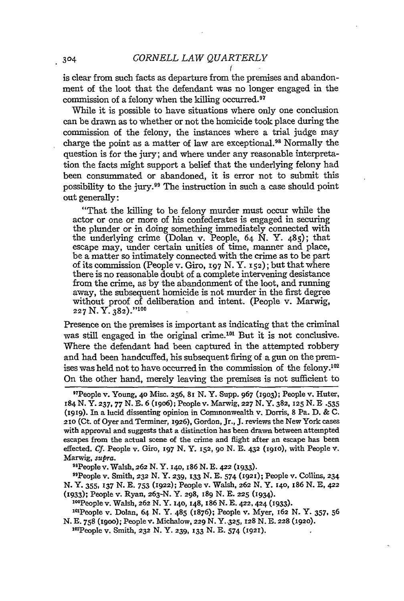is clear from such facts as departure from the premises and abandonment of the loot that the defendant was no longer engaged in the commission of a felony when the killing occurred.<sup>97</sup>

While it is possible to have situations where only one conclusion can be drawn as to whether or not the homicide took place during the commission of the felony, the instances where a trial judge may charge the point as a matter of law are exceptional.98 Normally the question is for the jury; and where under any reasonable interpretation the facts might support a belief that the underlying felony had been consummated or abandoned, it is error not to submit this possibility to the jury.99 The instruction in such a case should point out generally:

"That the killing to be felony murder must occur while the actor or one or more of his confederates is engaged in securing the plunder or in doing something immediately connected with the underlying crime (Dolan v. People,  $64$  N. Y.  $485$ ); that escape may, under certain unities of time, manner and place, be a matter so intimately connected with the crime as to be part of its commission (People v. *Giro,* **197** N. Y. **152);** but that where there is no reasonable doubt of a complete intervening desistance from the crime, as by the abandonment of the loot, and running away, the subsequent homicide is not murder in the first degree without proof of deliberation and intent. (People v. Marwig, **227 N.** Y. **382). " "1°**

Presence on the premises is important as indicating that the criminal was still engaged in the original crime.<sup>101</sup> But it is not conclusive. Where the defendant had been captured in the attempted robbery and had been handcuffed, his subsequent firing of a gun on the premises was held not to have occurred in the commission of the felony.<sup>102</sup> On the other hand, merely leaving the premises is not sufficient to

"People v. Smith, **232** N. Y. 239, **133** N. **E.** 574 **(1921);** People v. Collins, **234** N. Y. 355, **137** N. **E. 753** (1922); People v. Walsh, **262** N. Y. I4o, 186 N. **E,** 422 (I933); People v. Ryan, **263-N.** Y. 298, 189 N. **E. 225 (I934).**

1'0 People v. Walsh, **262** N. Y. **14o,** 148, 186 N. **E.** 422, **424 (1933).**

<sup>101</sup>People v. Dolan, 64 N. Y. 485 (1876); People v. Myer, 162 N. Y. 357, 56 N. **E. 758** (igoo); People v. Michalow, 229 N. Y..325, **128** N. **E. 228** (1920).

102 People v. Smith, **232** N. Y. **239, 133** N. **E.** 574 (1921).

<sup>&#</sup>x27; T People v. Young, **40** Misc. **256,** 8I N. Y. Supp. **967 (19O3);** People v. Huter, 184 N. Y. **237, 77** N. **E. 6 (19o6);** People v. Marwig, **227** N. Y. **382, 125** N. **E** .535 **(i919).** In a lucid dissenting opinion in Commonwealth v. Dorris, 8 Pa. D. **&** C. **210** (Ct. of Oyer and Terminer, **1926),** Gordon, Jr., J. reviews the New York cases with approval and suggests that a distinction has been drawn between attempted escapes from the actual scene of the crime and flight after an escape has been effected. **Cf.** People v. Giro, **197** N. Y. **152, 9o** N. **E.** 432 **(19io),** with People v. Marwig, *supra.* <sup>9</sup> People v. Walsh, **262** N. Y. **I4O,** i86 N. **E. 422** (I933).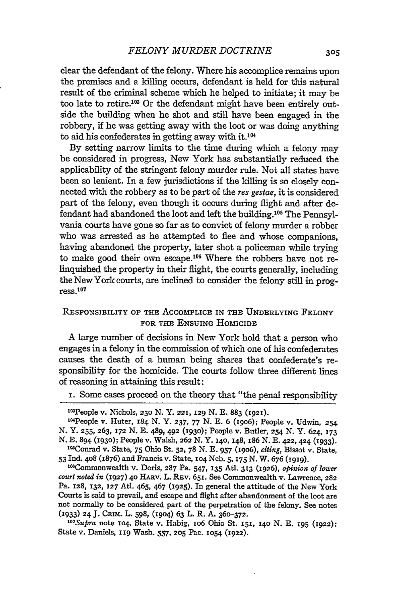clear the defendant of the felony. Where his accomplice remains upon the premises and a killing occurs, defendant is held for this natural result of the criminal scheme which he helped to initiate; it may be too late to retire.<sup>103</sup> Or the defendant might have been entirely outside the building when he shot and still have been engaged in the robbery, if he was getting away with the loot or was doing anything to aid his confederates in getting away with it.<sup>1</sup>

By setting narrow limits to the time during which a felony may be considered in progress, New York has substantially reduced the applicability of the stringent felony murder rule. Not all states have been so lenient. In a few jurisdictions if the killing is so closely connected with the robbery as to be part of the *res* gestae, it is considered part of the felony, even though it occurs during flight and after defendant had abandoned the loot and left the building.<sup>105</sup> The Pennsylvania courts have gone so far as to convict of felony murder a robber who was arrested as he attempted to flee and whose companions, having abandoned the property, later shot a policeman while trying to make good their own escape.<sup>106</sup> Where the robbers have not relinquished the property in their flight, the courts generally, including the New York courts, are inclined to consider the felony still in prog $res.107$ 

# RESPONSIBILITY **OF** THE ACCOMPLICE IN THE UNDERLYING FELONY FOR THE **ENSUING** HOMICIDE

A large number of decisions in New York hold that a person who engages in a felony in the commission of which one of his confederates causes the death of a human being shares that confederate's responsibility for the homicide. The courts follow three different lines of reasoning in attaining this result:

i. Some cases proceed on the theory that "the penal responsibility

*court noted in* **(1927)** 4o HARV. L. REV. **65I.** See Commonwealth v. Lawrence, **282** Pa. **128, 132, 127** At. 465, 467 (1925). In general the attitude of the New York Courts is said to prevail, and escape and flight after abandonment of the loot are not normally to be considered part of the perpetration of the felony. See notes **(1933) 24** J. CRIM. L. **598,** (19o4) 63 L. R. A. **360-372.**

*107 Supra* note **104.** State v. Habig, IO6 Ohio St. **151, I40** N. E. **195 (1922);** State v. Daniels, **119** Wash. 557, **205** Pac. **1054 (1922).**

<sup>2</sup> 03 People v. Nichols, **23o** N. Y. **221, 129** N. E. 883 **(1921).**

<sup>&#</sup>x27; 04 People v. Huter, 184 N. Y. **237, 77** N. E. 6 (igo6); People v. Udwin, **254** N. Y. **255,** 263, **172** N. E. 489, 492 **(1930);** People v. Butler, **254** N. Y. 624, **173** N. E. 894 **(1930)**; People v. Walsh, 262 N. Y. 140, 148, 186 N. E. 422, 424 **(1933).** <sup>105</sup> Conrad v. State, 75 Ohio St. 52, 78 N. E. 957 (1906), *citing*, Bissot v. State,

<sup>53</sup>Ind. 4o8 (1876) and Francis v. State, **104** Neb. 5, **175** N. W. **676 (I919).** 1'6Commonwealth v. Doris, **287** Pa. 547, **135** Atl. **313 (1926),** *opinion of lower*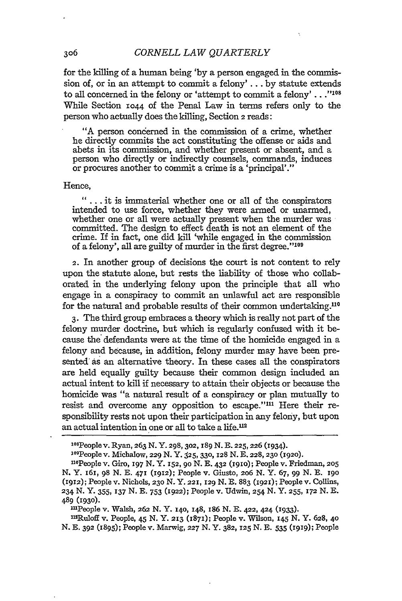for the killing of a human being 'by a person engaged in the commission of, or in an attempt to commit a felony' **...** by statute extends to all concerned in the felony or 'attempt to commit a felony'... $"^{108}$ While Section **1044** of the Penal Law in terms refers only to the person who actually does the killing, Section 2 reads:

"A person concerned in the commission of a crime, whether he directly commits the act constituting the offense or aids and abets in its commission, and whether present or absent, and a person who directly or indirectly counsels, commands, induces or procures another to commit a crime is a 'principal'."

#### Hence,

**"...** it is immaterial whether one or all of the conspirators intended to use force, whether they were armed or unarmed, whether one or all were actually present when the murder was committed. The design to effect death is not an element of the crime. If in fact, one did kill 'while engaged in the commission of a felony', all are guilty of murder in the first degree."<sup>109</sup>

2. In another group of decisions the court is not content to rely upon the statute alone, but rests the liability of those who collaborated in the underlying felony upon the principle that all who engage in a conspiracy to commit an unlawful act are responsible for the natural and probable results of their common undertaking.<sup>110</sup>

3. The third group embraces a theory which is really not part of the felony murder doctrine, but which is regularly confused with it because the defendants were at the time of the homicide engaged in a felony and because, in addition, felony murder may have been presented' as an alternative theory. In these cases all the conspirators are held equally guilty because their common design included an actual intent to kill if necessary to attain their objects or because the homicide was "a natural result of a conspiracy or plan mutually to resist and overcome any opposition to escape."<sup>111</sup> Here their responsibility rests not upon their participation in any felony, but upon an actual intention in one or all to take a life.<sup>112</sup>

"'People v. Walsh, **262** N. Y. i4o, 148, 186 N. **E. 422,** 424 **(1933).**

n2Ruloff v. People, 45 N. Y. **213 (187);** People v. Wilson, 145 **N.** Y. 628, 4o N. **E. 392** (895); People v. Marwig, **227** N. Y. **382, 125** N. **E. 535 (1919);** People

306

<sup>1</sup> 08 Peoplev. Ryan, **263 N.** Y. 298, **302, 189 N. E. 225,226** (1934).

**<sup>\*&#</sup>x27;1People** v. Michalow, 229 **N.** Y. **S25, 330, 128** N.E. 228, 230 (1920).

nOPeople v. Giro, 197 N. Y. **152, 9o** N. E. 432 **(191o);** People v. Friedman, **205** N. Y. 161, **98** N. E. 471 (1912); People v. Giusto, **2o6** N. Y. 67, 99 N. E. **190** (1912); People v. Nichols, 23o N. Y. 221, **129** N. E. 883 (1921); Peoplev. Collins, **234 N. Y.** 355, **137 N. E. 753 (1922);** People v. Udwin, **254 N.** Y. **255, 172 N. E. 489 (1930).**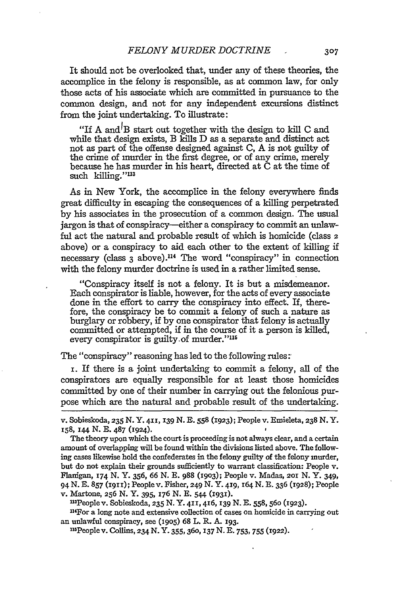It should not be overlooked that, under any of these theories, the accomplice in the felony is responsible, as at common law, for only those acts of his associate which are committed in pursuance to the common design, and not for any independent excursions distinct from the joint undertaking. To illustrate:

"If A and<sup>1</sup>B start out together with the design to kill C and while that design exists, B kills D as a separate and distinct act not as part of the offense designed against C, A is not guilty of the crime of murder in the first degree, or of any crime, merely because he has murder in his heart, directed at C at the time of such killing."<sup>113</sup>

As in New York, the accomplice in the felony everywhere finds great difficulty in escaping the consequences of a killing perpetrated by his associates in the prosecution of a common design. The usual jargon is that of conspiracy-either a conspiracy to commit an unlawful act the natural and probable result of which is homicide (class **2** above) or a conspiracy to aid each other to the extent of killing if necessary (class 3 above).<sup>114</sup> The word "conspiracy" in connection with the felony murder doctrine is used in a rather limited sense.

"Conspiracy itself is not a felony. It is but a misdemeanor. Each conspirator is liable, however, for the acts of every associate done in the effort to carry the conspiracy into effect. If, therefore, the conspiracy be to commit a felony of such a nature as burglary or robbery, if by one conspirator that felony is actually committed or attempted, if in the course of it a person is killed, every conspirator is guilty of murder."<sup>115</sup>

The "conspiracy" reasoning has led to the following rules:

i. If there is a joint undertaking to commit a felony, all of the conspirators are equally responsible for at least those homicides committed by one of their number in carrying out the felonious purpose which are the natural and probable result of the undertaking.

13 People v. Sobieskoda, **235 N. Y. 4II, 416, 139** N. E. 558, **560** (1923).

"4 For a long note and extensive collection of cases on homicide in carrying out an unlawful conspiracy, see **(1905) 68 L.** R. **A. 193.**

' 15 Peoplev. Collins, **234 N. Y. 355,36o, 137 N. E. 753,755 (1922).**

v. Sobieskoda, **235** N. Y. **411, 139** N. **E.** 558 (1923); People v. Emieleta, **238** N. Y. x58, 144 **N. E.** 487 (1924).

The theory upon which the court is proceeding is not always clear, and a certain amount of overlapping will be found within the divisions listed above. The following cases likewise hold the confederates in the felony guilty of the felony murder, but do not explain their grounds sufficiently to warrant classification: People v. Flanigan, **174 N. Y. 356, 66 N. E. 988 (1903);** People v. Madas, **2oI N.** Y. 349, 94 **N. E. 857 (i9 'I);** People v. Fisher, *249* **N. Y. 419, 164 N. E. 336** (1928); People v. Martone, **256 N. Y.** 395, **176 N. E.** 544 **(1931).**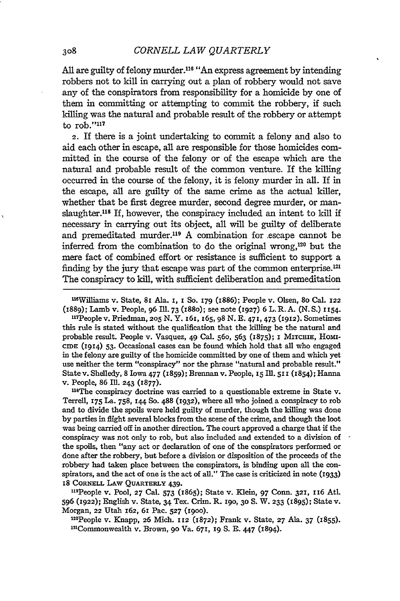**All** are guilty of felony murder.116 "An express agreement **by** intending robbers not to kill in carrying out a plan of robbery would not save any of the conspirators from responsibility for a homicide **by** one of them in committing or attempting to commit the robbery, **if** such killing was the natural and probable result of the robbery or attempt to  $\text{rob.}$ "117

**2.** If there is a joint undertaking to commit a felony and also to aid each other in escape, all are responsible for those homicides committed in the course of the felony or of the escape which are the natural and probable result of the common venture. If the killing occurred in the course of the felony, it is felony murder in all. If in the escape, all are guilty of the same crime as the actual killer, whether that be first degree murder, second degree murder, or manslaughter.118 If, however, the conspiracy included an intent to kill if necessary in carrying out its object, all will be guilty of deliberate and premeditated murder.<sup>119</sup> A combination for escape cannot be inferred from the combination to do the original wrong, 20 but the mere fact of combined effort or resistance is sufficient to support a finding by the jury that escape was part of the common enterprise.<sup>121</sup> The conspiracy to **kill,** with sufficient deliberation and premeditation

11Williams v. State, **8I** Ala. **I,** *1* **So. I79** (1886); People v. Olsen, **8o** Cal. **<sup>122</sup>** (1889); Lamb v. People, **96 Ill. 73** (188o); see note (1927) **6** L. **R.A. (N.S.) 1154.**

"'People v. Friedman, **2o5 N.** Y. **I6I,** 165,98 **N. E. 471, 473 (1912).** Sometimes this rule is stated without the qualification that the killing be the natural and probable result. People v. Vasquez, 49 Cal. 56o, **563** (1875); **i MITCHIE,** Homr-**CIDE (1914) 53.** Occasional cases can be found which hold that all who engaged in the felony are guilty of the homicide committed **by** one of them and which yet use neither the term "conspiracy" nor the phrase "natural and probable result." State v. Shelledy, **8** Iowa **477 (1859);** Brennan v. People, **15 Ill. 511 (1854);** Hanna v. People, **86 Ill. 243 (1877).**

<sup>118</sup>The conspiracy doctrine was carried to a questionable extreme in State v. Terrell, **175** La. **758, 144 So. 488 (1932),** where all who joined a conspiracy to rob and to divide the spoils were held guilty of murder, though the killing was done **by** parties in flight several blocks from the scene of the crime, and though the loot was being carried off in another direction. The court approved a charge that if the conspiracy was not only to rob, but also included and extended to a division of the spoils, then "any act or declaration of one of the conspirators performed or done after the robbery, but before a division or disposition of the proceeds of the robbery had taken place between the conspirators, is binding upon all the conspirators, and the act of one is the act of all." The case is criticized in note (1933) **18 CORNELL LAW QUARTERLY** 439.

"19 People v. Pool, **27** Cal. **573** (1865); State v. Klein, **97** Conn. **321, i16** Atl. **<sup>596</sup>(1922);** English v. State, 34 Tex. Crim. R. **190, 30 S.** W. **233 (1895);** State v. Morgan, **22** Utah 162, **61** Pac. **527 (I9OO).** <sup>1</sup>

2People v. Knapp, **26** Mich. **112** (872); Frank v. State, **27** Ala. **37 (x855).** <sup>12</sup> Commonwealth v. Brown, **9o** Va. **671, 19 S. E.** 447 (1894).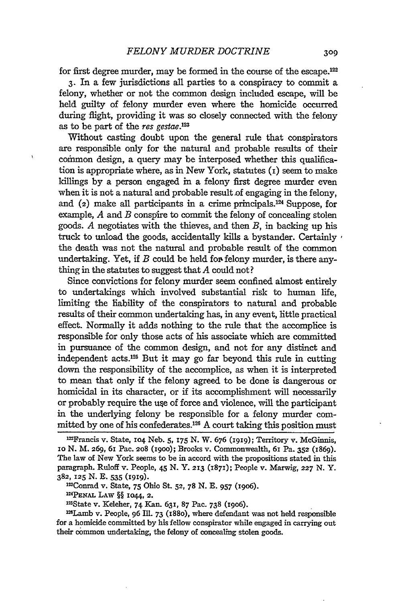for first degree murder, may be formed in the course of the escape.122

**3.** In a few jurisdictions all parties to a conspiracy to commit a felony, whether or not the common design included escape, will be held guilty of felony murder even where the homicide occurred during flight, providing it was so closely connected with the felony as to be part of the res gestae. $123$ 

Without casting doubt upon the general rule that conspirators are responsible only for the natural and probable results of their common design, a query may be interposed whether this qualification is appropriate where, as in New York, statutes  $(i)$  seem to make killings **by** a person engaged in a felony first degree murder even when it is not a natural and probable result of engaging in the felony. and  $(z)$  make all participants in a crime principals.<sup>124</sup> Suppose, for example, *A* and *B* conspire to commit the felony of concealing stolen goods. *A* negotiates with the thieves, and then *B,* in backing up his truck to unload the goods, accidentally kills a bystander. Certainly the death was not the natural and probable result of the common undertaking. Yet, if  $B$  could be held for felony murder, is there anything in the statutes to suggest that *A* could not?

Since convictions for felony murder seem confined almost entirely to undertakings which involved substantial risk to human life, limiting the liability of the conspirators to natural and probable results of their common undertaking has, in any event, little practical effect. Normally it adds nothing to the rule that the accomplice is responsible for only those acts of his associate which are committed in pursuance of the common design, and not for any distinct and independent acts.<sup>125</sup> But it may go far beyond this rule in cutting down the responsibility of the accomplice, as when it is interpreted to mean that only if the felony agreed to be done is dangerous or homicidal in its character, or if its accomplishment will necessarily or probably require the use of force and violence, will the participant in the underlying felony be responsible for a felony murder committed by one of his confederates.<sup>126</sup> A court taking this position must

**PENAL** LAW §§ **1044, 2.**

inState v. Keleher, 74 Kan. 631, **87** Pac. **738** (19o6).

<sup>128</sup>Lamb v. People, 96 Ill. 73 (1880), where defendant was not held responsible for a homicide committed **by** his fellow conspirator while engaged in carrying out their common undertaking, the felony of concealing stolen goods.

inFrancis v. State, **104** Neb. **5, 175 N.** W. **676 (I919);** Territory v. McGinnis, Io N. **M. 269,** 61 Pac. **208** (1goo); Brooks v. Commonwealth, 61 Pa. **352** (1869). The law of New York seems to be in accord with the propositions stated in this paragraph. Ruloff v. People, 45 N. Y. **213** (1871); People v. Marwig, **227** N. Y. **382,** 125 **N. E.** 535 (1919). InConrad v. State, 75 Ohio St. **52, 78 N. E.** 957 (19o6). **<sup>124</sup>**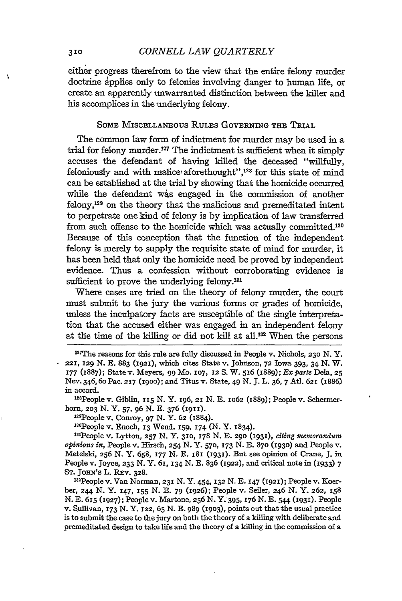#### **310** *CORNELL LAW QUARTERLY*

either progress therefrom to the view that the entire felony murder doctrine applies only to felonies involving danger to human life, or create an apparently unwarranted distinction between the killer and his accomplices in the underlying felony.

#### SoME MISCELLANEOUS RULES GOVERNING THE TRIAL

The common law form of indictment for murder may be used in a trial for felony murder.<sup>127</sup> The indictment is sufficient when it simply accuses the defendant of having killed the deceased "willfully, feloniously and with malice aforethought",<sup>128</sup> for this state of mind can be established at the trial by showing that the homicide occurred while the defendant was engaged in the commission of another felony,'2' on the theory that the malicious and premeditated intent to perpetrate one kind of felony is by implication of law transferred from such offense to the homicide which was actually committed. <sup>130</sup> Because of this conception that the function of the independent felony is merely to supply the requisite state of mind for murder, it has been held that only the homicide need be proved by independent evidence. Thus a confession without corroborating evidence is sufficient to prove the underlying felony.<sup>131</sup>

Where cases are tried on the theory of felony murder, the court must submit to the jury the various forms or grades of homicide, unless the inculpatory facts are susceptible of the single interpretation that the accused either was engaged in an independent felony at the time of the killing or did not kill at all.<sup>132</sup> When the persons

28 People v. Giblin, **115** N. Y. 196, 21 N. **E.** io62 (1889); People v. Schermerhorn, 203 N. Y. 57, 96 N. E. 376 (1911).

129 People v. Conroy, 97 N. Y. 62 (1884).

130People v. Enoch, 13 Wend. 159, 174 (N. Y. 1834).

r'ePeople v. Lytton, **257 N.** Y. 3IO, **178 N.** E. **290 (193),** *cting memorandum opinions in,* People v. Hirsch, 254 N. Y. **570, 173** N. E. 870 (193o) and People v. Metelsld, **256** N. Y. 658, 177 N. E. i81 (1931). But see opinion of Crane, J. in People v. Joyce, **233** N. Y. **61, 134** N. E. 836 (1922), and critical note in **(1933)** 7 **ST. JOHN's** L. REv. **328.**

32People v. Van Norman, 231 N. Y. 454, **132** N. E. 147 (1921); People v. Koerber, **244** N. Y. 147, **155** N. **E.** 79 (1926); People v. Seller, 246 N. Y. **262, 158** N. E. 615 (1927); People v. Martone, 256 N. Y. 395, 276 N. E. 544 **(1931).** People v. Sullivan, **173** N. Y. 122, **65** N. E. 989 (I9O3), points out that the usual practice is to submit the case to the jury on both the theory of **a** killing with deliberate and premeditated design to take life and the theory of a killing in the commission of a

 $\mathbf{v}_\mathrm{c}$ 

<sup>&</sup>lt;sup>127</sup> The reasons for this rule are fully discussed in People v. Nichols, 230 N.Y. 221, 129 N. **E.** 883 **(1921),** which cites State v. Johnson, **72** Iowa 393, 34 N. W. 177 (1887); Statev. Meyers, 99 Mo. **107,** 12 S. W. 516 (1889); *Exparte* Dela, **<sup>25</sup>** Nev. 346, 60 Pac. 217 (1900); and Titus v. State, 49 N. J. L. 36, 7 Atl. 621 (1886) in accord.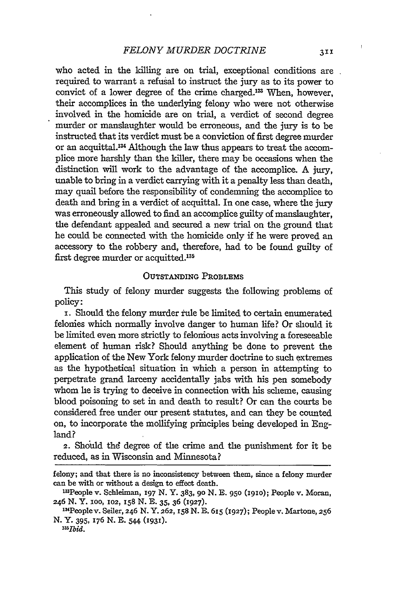who acted in the killing are on trial, exceptional conditions are required to warrant a refusal to instruct the jury as to its power to convict of a lower degree of the crime charged.<sup>133</sup> When, however, their accomplices in the underlying felony who were not otherwise involved in the homicide are on trial, a verdict of second degree murder or manslaughter would be erroneous, and the jury is to be instructed that its verdict must be a conviction of first degree murder or an acquittal.13 Although the law thus appears to treat the accomplice more harshly than the killer, there may be occasions when the distinction will work to the advantage of the accomplice. A jury, unable to bring in a verdict carrying with it a penalty less than death, may quail before the responsibility of condemning the accomplice to death and bring in a verdict of acquittal. In one case, where the jury was erroneously allowed to find an accomplice guilty of manslaughter, the defendant appealed and secured a new trial on the ground that he could be connected with the homicide only if he were proved an accessory to the robbery and, therefore, had to be found guilty of first degree murder or acquitted.<sup>135</sup>

#### OUTSTANDING PROBLEMS

This study of felony murder suggests the following problems of policy:

**x.** Should the felony murder rule be limited to certain enumerated felonies which normally involve danger to human life? Or should it be limited even more strictly to felonious acts involving a foreseeable element of human risk? Should anything be done to prevent the application of the New York felony murder doctrine to such extremes as the hypothetical situation in which a person in attempting to perpetrate grand larceny accidentally jabs with his pen somebody whom he is trying to deceive in connection with his scheme, causing blood poisoning to set in and death to result? Or can the courts be considered free under our present statutes, and can they be counted on, to incorporate the mollifying principles being developed in England?

2. Should the degree of the crime and the punishment for it be reduced, as in Wisconsin and Minnesota?

felony; and that there is no inconsistency between them, since a felony murder can be with or without a design to effect death. 13

<sup>1</sup> People v. Schleiman, **197 N.** Y. 383, **9o N. E. 950 (1910);** People v. Moran, **246 N.** Y. ioo, **102, I58** N. **E. 35, 36 (1927).** <sup>1</sup>

<sup>3</sup>Peoplev. Seiler, **246** N. Y. **262,** I58 N. **E. 615 (1927);** People v. Martone, **256** N. Y. 395, 176 N. E. 544 (1931).

*<sup>&</sup>quot;15 T1d.*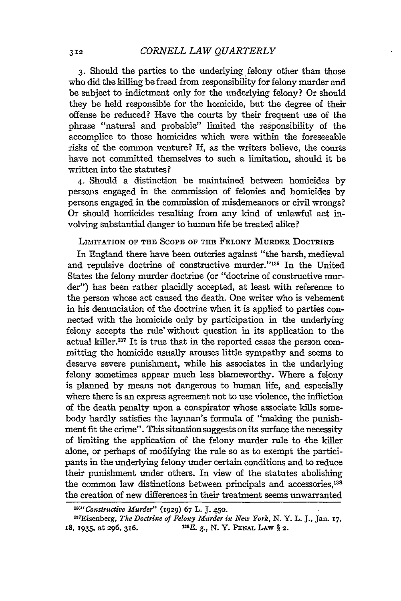3. Should the parties to the underlying, felony other than those who did the killing be freed from responsibility for felony murder and be subject to indictment only for the underlying felony? Or should they be held responsible for the homicide, but the degree of their offense be reduced? Have the courts by their frequent use of the phrase "natural and probable" limited the responsibility of the accomplice to those homicides which were within the foreseeable risks of the common venture? If, as the writers believe, the courts have not committed themselves to such a limitation, should it be written into the statutes?

4. Should a distinction be maintained between homicides by persons engaged in the commission of felonies and homicides by persons engaged in the commission of misdemeanors or civil wrongs? Or should honicides resulting from any kind of unlawful act involving substantial danger to human life be treated alike?

#### LIMITATION OF THE SCOPE OF THE FELONY MURDER DOCTRINE

In England there have been outcries against "the harsh, medieval and repulsive doctrine of constructive murder."<sup>136</sup> In the United States the felony murder doctrine (or "doctrine of constructive murder") has been rather placidly accepted, at least with reference to the person whose act caused the death. One writer who is vehement in his denunciation of the doctrine when it is applied to parties connected with the homicide only by participation in the underlying felony accepts the rule' without question in its application to the actual killer.<sup>137</sup> It is true that in the reported cases the person committing the homicide usually arouses little sympathy and seems to deserve severe punishment, while his associates in the underlying felony sometimes appear much less blameworthy. Where a felony is planned by means not dangerous to human life, and especially where there is an express agreement not to use violence, the infliction of the death penalty upon a conspirator whose associate kills somebody hardly satisfies the layman's formula of "making the punishment fit the crime". This situation suggests on its surface the necessity of limiting the application of the felony murder rule to the killer alone, or perhaps of modifying the rule so as to exempt the participants in the underlying felony under certain conditions and to reduce their punishment under others. In view of the statutes abolishing the common law distinctions between principals and accessories,<sup>138</sup> the creation of new differences in their treatment seems unwarranted

*lu"Constructive Murder"* (1929) 67 L. J. 450.

<sup>&</sup>lt;sup>137</sup>Eisenberg, *The Doctrine of Felony Murder in New York*, N.Y. L. J., Jan. 17, 18, 1935, at **296, 316. 13SB. g., N.** Y. PENAL LAW § **2.**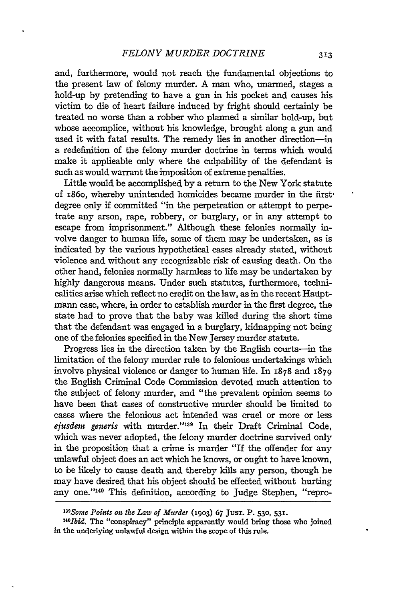and, furthermore, would not reach the fundamental objections to the present law of felony murder. A man who, unarmed, stages a hold-up by pretending to have a gun in his pocket and causes his victim to die of heart failure induced by fright should certainly be treated no worse than a robber who planned a similar hold-up, but whose accomplice, without his knowledge, brought along a gun and used it with fatal results. The remedy lies in another direction-in a redefinition of the felony murder doctrine in terms which would make it applicable only where the culpability of the defendant is such as would warrant the imposition of extreme penalties.

Little would be accomplished by a return to the New York statute of i86o, whereby unintended homicides became murder in the first degree only if committed "in the perpetration or attempt to perpetrate any arson, rape, robbery, or burglary, or in any attempt to escape from imprisonment." Although these felonies normally involve danger to human life, some of them may be undertaken, as is indicated by the various hypothetical cases already stated, without violence and without any recognizable risk of causing death. On the other hand, felonies normally harmless to life may be undertaken by highly dangerous means. Under such statutes, furthermore, technicalities arise which reflect no credit on the law, as in the recent Hauptmann case, where, in order to establish murder in the first degree, the state had to prove that the baby was killed during the short time that the defendant was engaged in a burglary, kidnapping not being one of the felonies specified in the New Jersey murder statute.

Progress lies in the direction taken by the English courts-in the limitation of the felony murder rule to felonious undertakings which involve physical violence or danger to human life. In 1878 and 1879 the English Criminal Code Commission devoted much attention to the subject of felony murder, and "the prevalent opinion seems to have been that cases of constructive murder should be limited to cases where the felonious act intended was cruel or more or less ejusdem generis with murder."<sup>139</sup> In their Draft Criminal Code, which was never adopted, the felony murder doctrine survived only in the proposition that a crime is murder "If the offender for any unlawful object does an act which he knows, or ought to have known, to be likely to cause death and thereby kills any person, though he may have desired that his object should be effected without hurting any one."'140 This definition, according to Judge Stephen, "repro-

*<sup>13&</sup>quot;Some Points on the Law of Murder* **(1903) 67 JUST.** P. **530, 531.**

*<sup>&#</sup>x27; 40 Ibid.* The "conspiracy" principle apparently would bring those who joined in the underlying unlawful design within the scope of this rule.